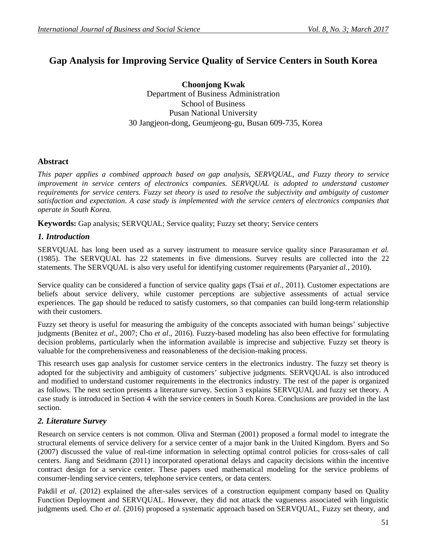# **Gap Analysis for Improving Service Quality of Service Centers in South Korea**

**Choonjong Kwak** Department of Business Administration School of Business Pusan National University 30 Jangjeon-dong, Geumjeong-gu, Busan 609-735, Korea

## **Abstract**

*This paper applies a combined approach based on gap analysis, SERVQUAL, and Fuzzy theory to service improvement in service centers of electronics companies. SERVQUAL is adopted to understand customer requirements for service centers. Fuzzy set theory is used to resolve the subjectivity and ambiguity of customer satisfaction and expectation. A case study is implemented with the service centers of electronics companies that operate in South Korea.*

**Keywords:** Gap analysis; SERVQUAL; Service quality; Fuzzy set theory; Service centers

## *1. Introduction*

SERVQUAL has long been used as a survey instrument to measure service quality since Parasuraman *et al.* (1985). The SERVQUAL has 22 statements in five dimensions. Survey results are collected into the 22 statements. The SERVQUAL is also very useful for identifying customer requirements (Paryani*et al*., 2010).

Service quality can be considered a function of service quality gaps (Tsai *et al*., 2011). Customer expectations are beliefs about service delivery, while customer perceptions are subjective assessments of actual service experiences. The gap should be reduced to satisfy customers, so that companies can build long-term relationship with their customers.

Fuzzy set theory is useful for measuring the ambiguity of the concepts associated with human beings' subjective judgments (Benitez *et al*., 2007; Cho *et al*., 2016). Fuzzy-based modeling has also been effective for formulating decision problems, particularly when the information available is imprecise and subjective. Fuzzy set theory is valuable for the comprehensiveness and reasonableness of the decision-making process.

This research uses gap analysis for customer service centers in the electronics industry. The fuzzy set theory is adopted for the subjectivity and ambiguity of customers' subjective judgments. SERVQUAL is also introduced and modified to understand customer requirements in the electronics industry. The rest of the paper is organized as follows. The next section presents a literature survey. Section 3 explains SERVQUAL and fuzzy set theory. A case study is introduced in Section 4 with the service centers in South Korea. Conclusions are provided in the last section.

## *2. Literature Survey*

Research on service centers is not common. Oliva and Sterman (2001) proposed a formal model to integrate the structural elements of service delivery for a service center of a major bank in the United Kingdom. Byers and So (2007) discussed the value of real-time information in selecting optimal control policies for cross-sales of call centers. Jiang and Seidmann (2011) incorporated operational delays and capacity decisions within the incentive contract design for a service center. These papers used mathematical modeling for the service problems of consumer-lending service centers, telephone service centers, or data centers.

Pakdil *et al*. (2012) explained the after-sales services of a construction equipment company based on Quality Function Deployment and SERVQUAL. However, they did not attack the vagueness associated with linguistic judgments used. Cho *et al*. (2016) proposed a systematic approach based on SERVQUAL, Fuzzy set theory, and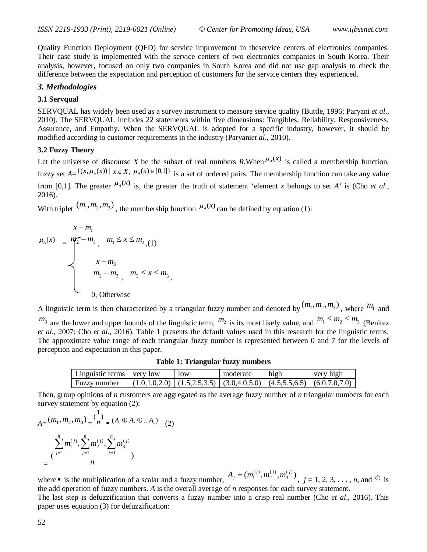Quality Function Deployment (QFD) for service improvement in theservice centers of electronics companies. Their case study is implemented with the service centers of two electronics companies in South Korea. Their analysis, however, focused on only two companies in South Korea and did not use gap analysis to check the difference between the expectation and perception of customers for the service centers they experienced.

### *3. Methodologies*

### **3.1 Servqual**

SERVQUAL has widely been used as a survey instrument to measure service quality (Buttle, 1996; Paryani *et al*., 2010). The SERVQUAL includes 22 statements within five dimensions: Tangibles, Reliability, Responsiveness, Assurance, and Empathy. When the SERVQUAL is adopted for a specific industry, however, it should be modified according to customer requirements in the industry (Paryani*et al*., 2010).

### **3.2 Fuzzy Theory**

Let the universe of discourse *X* be the subset of real numbers *R*.When  $\mu_A(x)$  is called a membership function, fuzzy set  $A = \{(x, \mu_A(x)) | x \in X, \mu_A(x) \in [0,1]\}$  is a set of ordered pairs. The membership function can take any value from [0,1]. The greater  $\mu_A(x)$  is, the greater the truth of statement 'element *x* belongs to set *A*' is (Cho *et al.*, 2016).

With triplet  $(m_1, m_2, m_3)$ , the membership function  $\mu_A(x)$  can be defined by equation (1):

$$
\mu_{A}(x) = \frac{\overline{m_2} - m_1}{\overline{m_2} - m_1}, \quad m_1 \leq x \leq m_2, (1)
$$
  

$$
\frac{x - m_3}{m_2 - m_3}, \quad m_2 \leq x \leq m_3,
$$
  
0, Otherwise

A linguistic term is then characterized by a triangular fuzzy number and denoted by  $(m_1, m_2, m_3)$ , where  $m_1$  and  $m_3$  are the lower and upper bounds of the linguistic term,  $m_2$  is its most likely value, and  $m_1 \le m_2 \le m_3$  (Benitez *et al*., 2007; Cho *et al*., 2016). Table 1 presents the default values used in this research for the linguistic terms. The approximate value range of each triangular fuzzy number is represented between 0 and 7 for the levels of perception and expectation in this paper.

| Linguistic terms $\parallel$ very low | low | moderate | high                                                                                      | very high |
|---------------------------------------|-----|----------|-------------------------------------------------------------------------------------------|-----------|
| Fuzzy number                          |     |          | $(1.0, 1.0, 2.0)$ $(1.5, 2.5, 3.5)$ $(3.0, 4.0, 5.0)$ $(4.5, 5.5, 6.5)$ $(6.0, 7.0, 7.0)$ |           |

**Table 1: Triangular fuzzy numbers**

Then, group opinions of *n* customers are aggregated as the average fuzzy number of *n* triangular numbers for each survey statement by equation (2):

$$
A = (m_1, m_2, m_3) = \frac{1}{n} \cdot (A_1 \oplus A_2 \oplus ... A_n) \quad (2)
$$
  

$$
= \frac{\sum_{j=1}^{n} m_1^{(j)} \cdot \sum_{j=1}^{n} m_2^{(j)} \cdot \sum_{j=1}^{n} m_3^{(j)}}{n}
$$

where • is the multiplication of a scalar and a fuzzy number,  $A_j = (m_1^{(j)}, m_2^{(j)}, m_3^{(j)})$ 3  $(j)$ 2  $(j)$  $A_j = (m_1^{(j)}, m_2^{(j)}, m_3^{(j)})$ ,  $j = 1, 2, 3, ..., n$ , and  $\Theta$  is the add operation of fuzzy numbers. *A* is the overall average of *n* responses for each survey statement. The last step is defuzzification that converts a fuzzy number into a crisp real number (Cho *et al*., 2016). This paper uses equation (3) for defuzzification: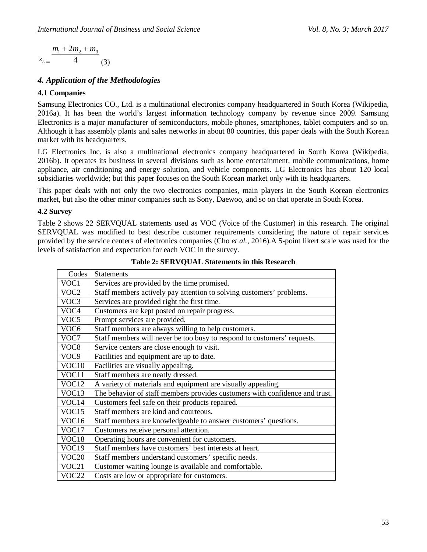*A z* 4  $m_1 + 2m_2 + m_3$ (3)

## *4. Application of the Methodologies*

## **4.1 Companies**

Samsung Electronics CO., Ltd. is a multinational electronics company headquartered in South Korea (Wikipedia, 2016a). It has been the world's largest information technology company by revenue since 2009. Samsung Electronics is a major manufacturer of semiconductors, mobile phones, smartphones, tablet computers and so on. Although it has assembly plants and sales networks in about 80 countries, this paper deals with the South Korean market with its headquarters.

LG Electronics Inc. is also a multinational electronics company headquartered in South Korea (Wikipedia, 2016b). It operates its business in several divisions such as home entertainment, mobile communications, home appliance, air conditioning and energy solution, and vehicle components. LG Electronics has about 120 local subsidiaries worldwide; but this paper focuses on the South Korean market only with its headquarters.

This paper deals with not only the two electronics companies, main players in the South Korean electronics market, but also the other minor companies such as Sony, Daewoo, and so on that operate in South Korea.

### **4.2 Survey**

Table 2 shows 22 SERVQUAL statements used as VOC (Voice of the Customer) in this research. The original SERVQUAL was modified to best describe customer requirements considering the nature of repair services provided by the service centers of electronics companies (Cho *et al.*, 2016).A 5-point likert scale was used for the levels of satisfaction and expectation for each VOC in the survey.

| Codes             | <b>Statements</b>                                                           |
|-------------------|-----------------------------------------------------------------------------|
| VOC1              | Services are provided by the time promised.                                 |
| VOC2              | Staff members actively pay attention to solving customers' problems.        |
| VOC3              | Services are provided right the first time.                                 |
| VOC4              | Customers are kept posted on repair progress.                               |
| VOC5              | Prompt services are provided.                                               |
| VOC <sub>6</sub>  | Staff members are always willing to help customers.                         |
| VOC7              | Staff members will never be too busy to respond to customers' requests.     |
| VOC <sub>8</sub>  | Service centers are close enough to visit.                                  |
| VOC9              | Facilities and equipment are up to date.                                    |
| VOC <sub>10</sub> | Facilities are visually appealing.                                          |
| VOC11             | Staff members are neatly dressed.                                           |
| VOC <sub>12</sub> | A variety of materials and equipment are visually appealing.                |
| VOC <sub>13</sub> | The behavior of staff members provides customers with confidence and trust. |
| VOC14             | Customers feel safe on their products repaired.                             |
| VOC15             | Staff members are kind and courteous.                                       |
| VOC16             | Staff members are knowledgeable to answer customers' questions.             |
| VOC17             | Customers receive personal attention.                                       |
| VOC18             | Operating hours are convenient for customers.                               |
| VOC19             | Staff members have customers' best interests at heart.                      |
| VOC <sub>20</sub> | Staff members understand customers' specific needs.                         |
| VOC21             | Customer waiting lounge is available and comfortable.                       |
| VOC22             | Costs are low or appropriate for customers.                                 |

**Table 2: SERVQUAL Statements in this Research**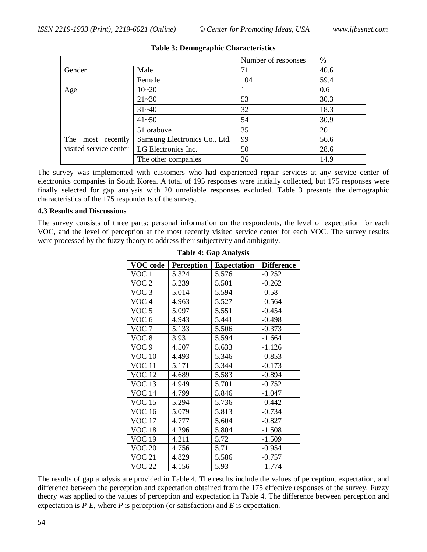|                        |                               | Number of responses | %    |
|------------------------|-------------------------------|---------------------|------|
| Gender                 | Male                          | 71                  | 40.6 |
|                        | Female                        | 104                 | 59.4 |
| Age                    | $10 - 20$                     |                     | 0.6  |
|                        | $21 - 30$                     | 53                  | 30.3 |
|                        | $31 - 40$                     | 32                  | 18.3 |
|                        | $41 - 50$                     | 54                  | 30.9 |
|                        | 51 orabove                    | 35                  | 20   |
| The<br>most recently   | Samsung Electronics Co., Ltd. | 99                  | 56.6 |
| visited service center | LG Electronics Inc.           | 50                  | 28.6 |
|                        | The other companies           | 26                  | 14.9 |

### **Table 3: Demographic Characteristics**

The survey was implemented with customers who had experienced repair services at any service center of electronics companies in South Korea. A total of 195 responses were initially collected, but 175 responses were finally selected for gap analysis with 20 unreliable responses excluded. Table 3 presents the demographic characteristics of the 175 respondents of the survey.

### **4.3 Results and Discussions**

The survey consists of three parts: personal information on the respondents, the level of expectation for each VOC, and the level of perception at the most recently visited service center for each VOC. The survey results were processed by the fuzzy theory to address their subjectivity and ambiguity.

| <b>VOC</b> code  | <b>Perception</b> | <b>Expectation</b> | <b>Difference</b> |
|------------------|-------------------|--------------------|-------------------|
| VOC <sub>1</sub> | 5.324             | 5.576              | $-0.252$          |
| VOC 2            | 5.239             | 5.501              | $-0.262$          |
| VOC <sub>3</sub> | 5.014             | 5.594              | $-0.58$           |
| VOC <sub>4</sub> | 4.963             | 5.527              | $-0.564$          |
| VOC <sub>5</sub> | 5.097             | 5.551              | $-0.454$          |
| VOC <sub>6</sub> | 4.943             | 5.441              | $-0.498$          |
| VOC 7            | 5.133             | 5.506              | $-0.373$          |
| VOC <sub>8</sub> | 3.93              | 5.594              | $-1.664$          |
| VOC <sub>9</sub> | 4.507             | 5.633              | $-1.126$          |
| <b>VOC 10</b>    | 4.493             | 5.346              | $-0.853$          |
| <b>VOC 11</b>    | 5.171             | 5.344              | $-0.173$          |
| <b>VOC 12</b>    | 4.689             | 5.583              | $-0.894$          |
| <b>VOC 13</b>    | 4.949             | 5.701              | $-0.752$          |
| <b>VOC 14</b>    | 4.799             | 5.846              | $-1.047$          |
| <b>VOC 15</b>    | 5.294             | 5.736              | $-0.442$          |
| <b>VOC 16</b>    | 5.079             | 5.813              | $-0.734$          |
| <b>VOC 17</b>    | 4.777             | 5.604              | $-0.827$          |
| <b>VOC 18</b>    | 4.296             | 5.804              | $-1.508$          |
| <b>VOC 19</b>    | 4.211             | 5.72               | $-1.509$          |
| <b>VOC 20</b>    | 4.756             | 5.71               | $-0.954$          |
| <b>VOC 21</b>    | 4.829             | 5.586              | $-0.757$          |
| <b>VOC 22</b>    | 4.156             | 5.93               | $-1.774$          |

**Table 4: Gap Analysis**

The results of gap analysis are provided in Table 4. The results include the values of perception, expectation, and difference between the perception and expectation obtained from the 175 effective responses of the survey. Fuzzy theory was applied to the values of perception and expectation in Table 4. The difference between perception and expectation is *P*-*E*, where *P* is perception (or satisfaction) and *E* is expectation.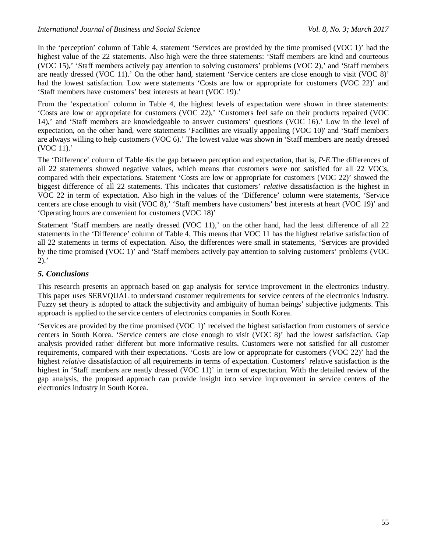In the 'perception' column of Table 4, statement 'Services are provided by the time promised (VOC 1)' had the highest value of the 22 statements. Also high were the three statements: 'Staff members are kind and courteous (VOC 15),' 'Staff members actively pay attention to solving customers' problems (VOC 2),' and 'Staff members are neatly dressed (VOC 11).' On the other hand, statement 'Service centers are close enough to visit (VOC 8)' had the lowest satisfaction. Low were statements 'Costs are low or appropriate for customers (VOC 22)' and 'Staff members have customers' best interests at heart (VOC 19).'

From the 'expectation' column in Table 4, the highest levels of expectation were shown in three statements: 'Costs are low or appropriate for customers (VOC 22),' 'Customers feel safe on their products repaired (VOC 14),' and 'Staff members are knowledgeable to answer customers' questions (VOC 16).' Low in the level of expectation, on the other hand, were statements 'Facilities are visually appealing (VOC 10)' and 'Staff members are always willing to help customers (VOC 6).' The lowest value was shown in 'Staff members are neatly dressed (VOC 11).'

The 'Difference' column of Table 4is the gap between perception and expectation, that is, *P*-*E*.The differences of all 22 statements showed negative values, which means that customers were not satisfied for all 22 VOCs, compared with their expectations. Statement 'Costs are low or appropriate for customers (VOC 22)' showed the biggest difference of all 22 statements. This indicates that customers' *relative* dissatisfaction is the highest in VOC 22 in term of expectation. Also high in the values of the 'Difference' column were statements, 'Service centers are close enough to visit (VOC 8),' 'Staff members have customers' best interests at heart (VOC 19)' and 'Operating hours are convenient for customers (VOC 18)'

Statement 'Staff members are neatly dressed (VOC 11),' on the other hand, had the least difference of all 22 statements in the 'Difference' column of Table 4. This means that VOC 11 has the highest relative satisfaction of all 22 statements in terms of expectation. Also, the differences were small in statements, 'Services are provided by the time promised (VOC 1)' and 'Staff members actively pay attention to solving customers' problems (VOC  $2)$ .

## *5. Conclusions*

This research presents an approach based on gap analysis for service improvement in the electronics industry. This paper uses SERVQUAL to understand customer requirements for service centers of the electronics industry. Fuzzy set theory is adopted to attack the subjectivity and ambiguity of human beings' subjective judgments. This approach is applied to the service centers of electronics companies in South Korea.

'Services are provided by the time promised (VOC 1)' received the highest satisfaction from customers of service centers in South Korea. 'Service centers are close enough to visit (VOC 8)' had the lowest satisfaction. Gap analysis provided rather different but more informative results. Customers were not satisfied for all customer requirements, compared with their expectations. 'Costs are low or appropriate for customers (VOC 22)' had the highest *relative* dissatisfaction of all requirements in terms of expectation. Customers' relative satisfaction is the highest in 'Staff members are neatly dressed (VOC 11)' in term of expectation. With the detailed review of the gap analysis, the proposed approach can provide insight into service improvement in service centers of the electronics industry in South Korea.